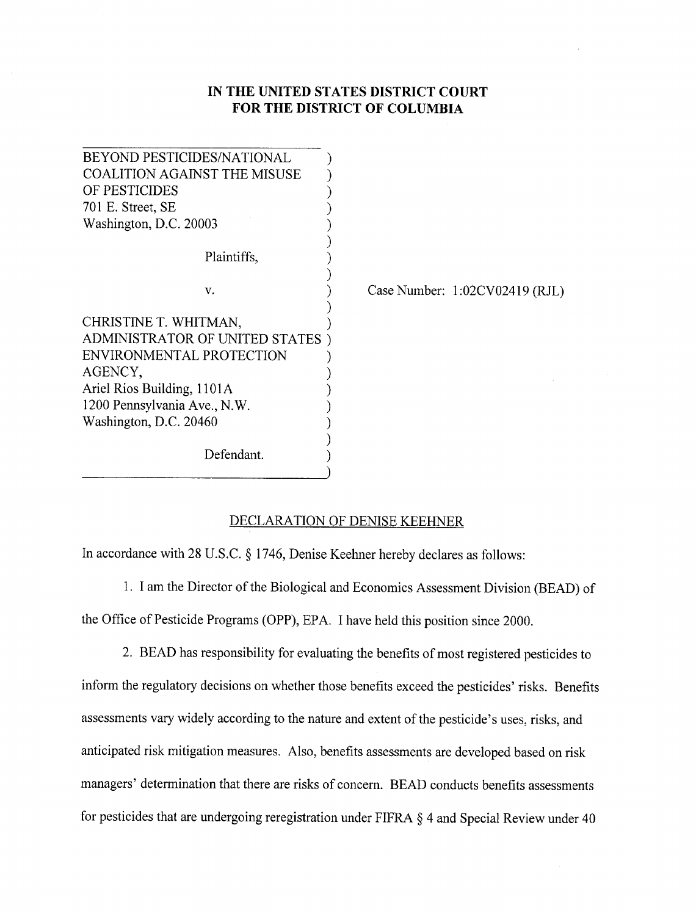## **IN THE UNI**T**ED STATES D**I**S**T**RICT C**O**URT F**O**R THE DIST**RI**CT** O**F** C**OLUMBI**A

| BEYOND PESTICIDES/NATIONAL          |                                  |
|-------------------------------------|----------------------------------|
| <b>COALITION AGAINST THE MISUSE</b> |                                  |
| OF PESTICIDES                       |                                  |
| 701 E. Street, SE                   |                                  |
| Washington, D.C. 20003              |                                  |
| Plaintiffs,                         |                                  |
| V.                                  | Case Number: $1:02CV02419$ (RJL) |
| CHRISTINE T. WHITMAN,               |                                  |
| ADMINISTRATOR OF UNITED STATES      |                                  |
| ENVIRONMENTAL PROTECTION            |                                  |
| AGENCY,                             |                                  |
| Ariel Rios Building, 1101A          |                                  |
| 1200 Pennsylvania Ave., N.W.        |                                  |
| Washington, D.C. 20460              |                                  |
|                                     |                                  |
| Defendant.                          |                                  |
|                                     |                                  |

## DEC**LARATION OF DENISE K**EEH**NER**

In accordance with 28 U.S.C. § 1746, Denise Keehner hereby declares as follows:

1. I am the Director of the Biological and Economics Assessment Division (BEAD) of the Office of Pesticide Programs (OPP), EPA. I have held this position since 2000.

2. BEAD has responsibility for evaluating the benefits of most registered pesticides to inform the regulatory decisions on whether those benefits exceed the pesticides' risks. Benefits assessments vary widely according to the nature and extent of the pesticide's uses, risks, and anticipated risk mitigation measures. Also, benefits assessments are developed based on risk managers' determination that there are risks of concern. BEAD conducts benefits assessments for pesticides that are undergoing reregistration under FIFRA § 4 and Special Review under 40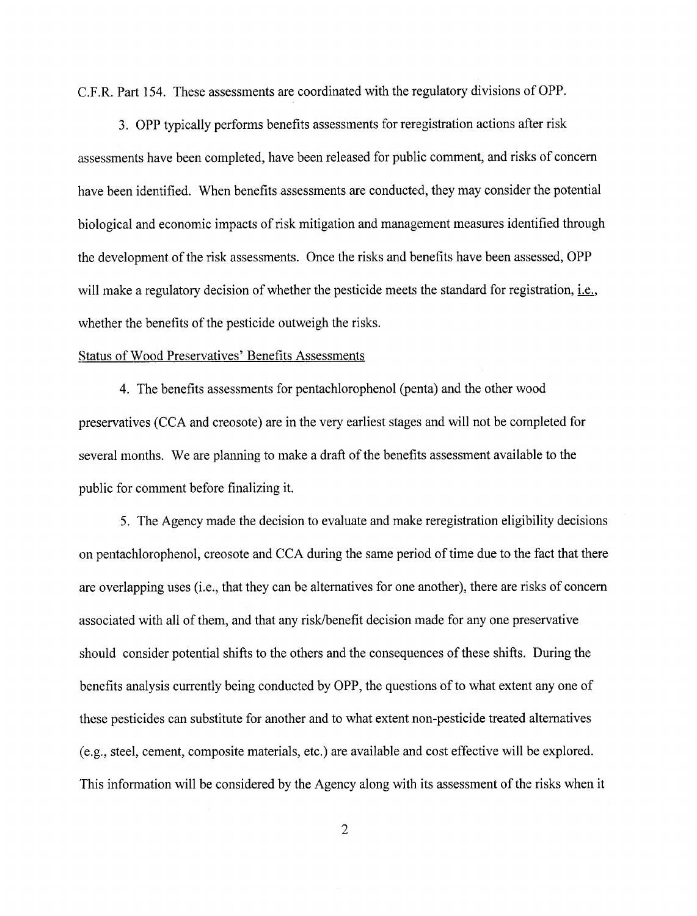C.F.R. Part 154. These assessments are coordinated with the regulatory divisions of OPP.

3. OPP typically performs benefits assessme*nt*s for reregistration actions after risk assessme*nt*s have been completed, have been released for public comme*nt*, and risks of concern have been ide*nt*ified. When benefits assessments are conducted, they may consider the pote*nt*ial biological and economic impacts of risk mitigation and manageme*nt* measures ide*nt*ified through the developme*nt* of the risk assessme*nt*s. Once the risks and benefits have been assessed, OPP will make a regulatory decision of whether the pesticide meets the standard for registration, i.e., whether the benefits of the pesticide outweigh the risks.

## Status of Wood Preservatives' Benefits Assessme*nts*

4. The benefits assessme*nt*s for pe*nt*achlorophenol (pe*nt*a) and the other wood preservatives (CCA and cre**o**s**o**te) are in the very earliest stages and will n**o**t be c**o**mpleted f**o**r several months. We are planning to make a draft **o**f the benefits assessment available to the public f**o**r comment before finalizing it.

5. The Agency made the decision t**o** evaluate and make reregistrati**o**n eligibility decisi**o**ns **o**n pentachl**o**r**o**phen**o**l, cre**o**sote and CCA during the same per**i**od **o**f time due t**o** the fact that there are overlapping uses (i.e., that they can be alternatives for one another), there are risks of concem associated with all of them, and that any risk*/*benefit decision made for any one preservative should consider potential shifts to the others and the consequences of these shifts. During the benefits analysis currently being conducted by OPP, the questions of to what extent any one of these pesticides can substitute for another and to what extent non-pesticide treated alternatives (e.g., steel, cement, composite materials, etc.) are available and cost effective will be explored. This information will be considered by the Agency along with its assessment of the risks when it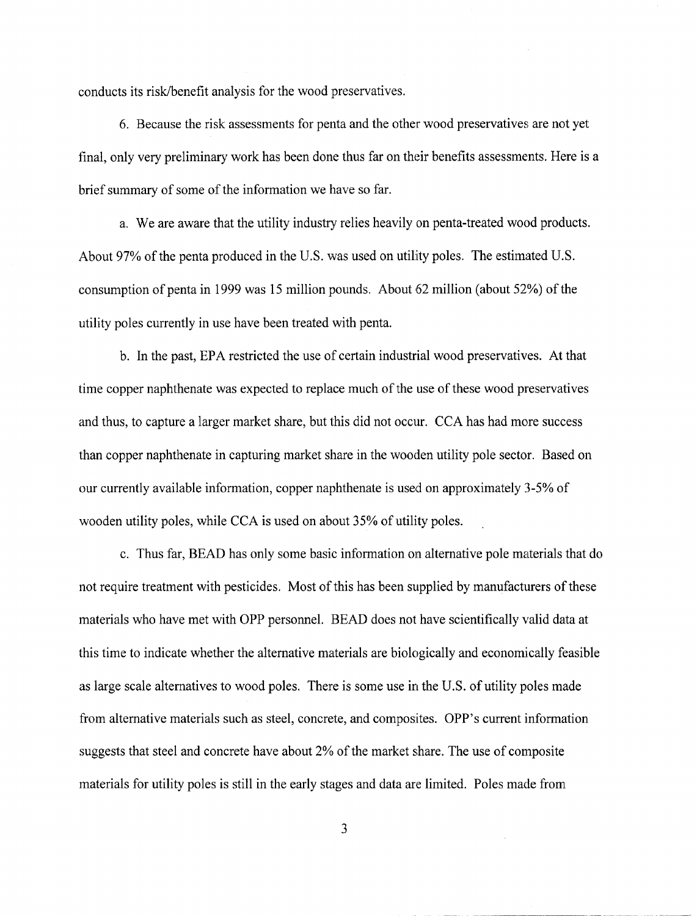conducts its risk*/*benefit analysis for the wood preservatives.

6. Because the risk assessments for penta and the other wood preservatives**;** are not yet final, only very preliminary work has been done thus far on their benefits assessments. Here is a brief summary of some of the information we have so far.

a. We are aware that the utility industry relies heavily on penta-treated wood products. About 97% of the penta produced in the U.S. was used on utility poles. The estimated U.S. consumption of penta in 1999 was 15 million pounds. About  $62$  million (about  $52\%$ ) of the utility poles currently in use have been treated with penta.

b. In the past, EPA restricted the use of certain industrial wood preservatives. At that time copper naphthenate was expected to replace much of the use of these wood preservatives and thus, to capture a larger market share, but this did not occur. CCA has had more success than copper naphthenate in capturing market share in the wooden utility pole sector. Based on our currently available information, copper naphthenate is used on approximately 3-5% of wooden utility poles, while CCA is used on about 35% of utility poles.

c. Thus far, BEAD has only some basic information on alternative pole materials that do not require treatment with pesticides. Most of this has been supplied by manufacturers of these materials who have met with OPP personnel. BEAD does not have scientifically valid data at this time to indicate whether the alternative materials are biologically and economically feasible as large scale alternatives to wood poles. There is some use in the U.S. of utility poles made from alternative materials such as steel, concrete, and composites. OPP's current information suggests that steel and concrete have about 2% of the market share. The use of composite materials for utility poles is still in the early stages and data are limited. Poles made from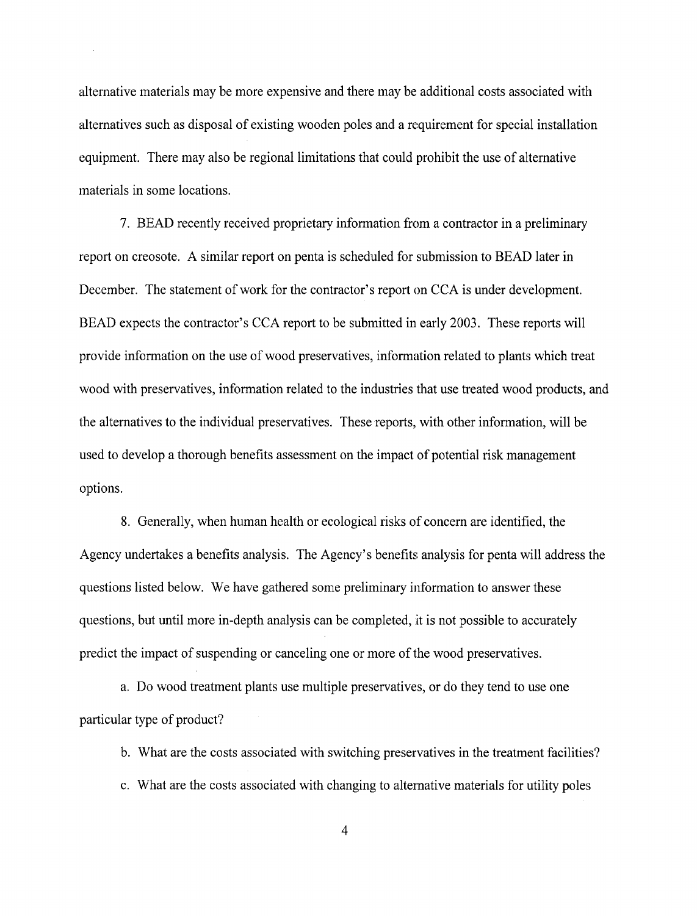alternative materials may be more expensive and there may be additional costs associated with alternatives such as disposal of existing wooden poles and a requirement for special installation equipment. There may also be regional limitations that could prohibit the use of alternative materials in some locations.

7. BEAD recently received proprietary information from a contractor in a preliminary report on creosote. A similar report on penta is scheduled for submission to BEAD later in December. The statement of work for the contractor's report on CCA is under development. BEAD expects the contractor's CCA report to be submitted in early 2003. These reports will provide information on the use of wood preservatives, information related to plant*s* which treat wood with preservatives, information related to the industries that use treated wood products, and the alternatives to the individual preservatives. These reports, with other information, will be used to develop a thorough benefits assessment on the impact of potential risk management options.

8. Generally, when human health or ecological risks of concern are identified, the Agency undertakes a benefits analysis. The Agency's benefits analysis for penta will address the questions listed below. We have gathered some preliminary information to answer these questions, but until more in-depth analysis can be completed, it is not possible to accurately predict the impact of suspending or canceling one or more of the wood preservatives.

a. Do wood treatment plants use multiple preservatives, or do they tend to use one particular type of product?

b. What are the costs associated with switching preservatives in the treatment facilities?

c. What are the costs associated with changing to alternative materials for utility poles

4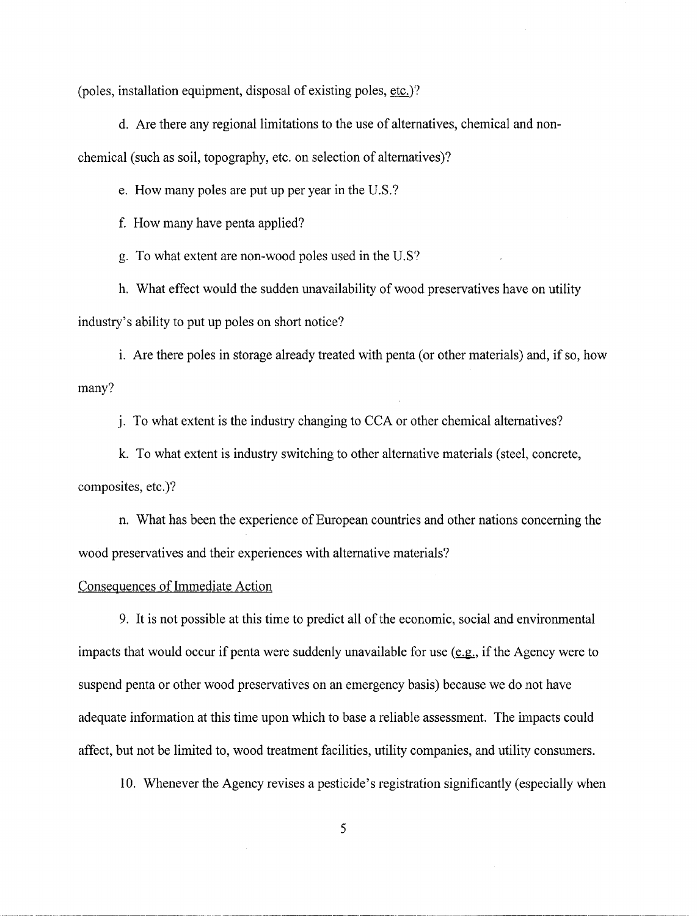(poles, installation equipment, disposal of existing poles, etc.)*'*?

d. Are there any regional limitations to the use of alternatives, chemical and nonchemical (such as soil, topography, etc. on selection of alternatives)?

e. How many poles are put up per year in the U.S.?

f. How many have penta applied?

g. To what extent are non-wood poles used in the U.S?

h. What effect would the sudden unavailability of wood preservatives have on utility industry's ability to put up poles on short notice?

i. Are there poles in storage already treated with penta (or other materials) and, if so, how many?

j. To what extent is the industry changing to CCA or other chemical alternatives?

k. To what extent is industry switching to other alternative materials (steel, concrete, composites, etc.)?

n. What has been the experience of European countries and other nations concerning the wood preservatives and their experiences with alternative materials?

## Consequences of Immediate Action

9. It is not possible at this time to predict all of the economic, social and environmental impacts that would occur if penta were suddenly unavailable for use (e.g., if the Agency were to suspend penta or other wood preservatives on an emergency basis) because we do not have adequate information at this time upon which to base a reliable assessment. The i*m*pacts could affect, but not be limited to, wood treatment facilities, utility companies, and utility consumers.

10. Whenever the Agency revises a pesticide's registration significantly (especially when